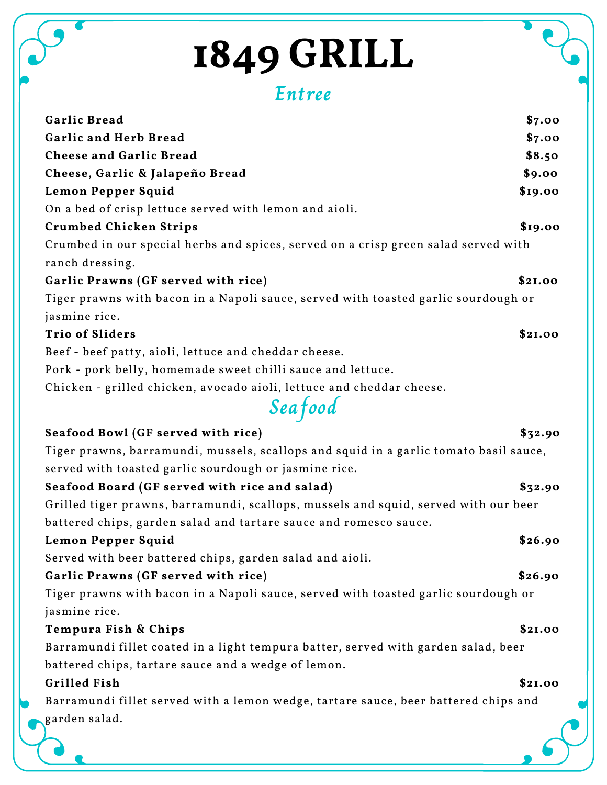## **Entree**

| Garlic Bread                                                                          | \$7.00  |
|---------------------------------------------------------------------------------------|---------|
| <b>Garlic and Herb Bread</b>                                                          | \$7.00  |
| <b>Cheese and Garlic Bread</b>                                                        | \$8.50  |
| Cheese, Garlic & Jalapeño Bread                                                       | \$9.00  |
| Lemon Pepper Squid                                                                    | \$19.00 |
| On a bed of crisp lettuce served with lemon and aioli.                                |         |
| <b>Crumbed Chicken Strips</b>                                                         | \$19.00 |
| Crumbed in our special herbs and spices, served on a crisp green salad served with    |         |
| ranch dressing.                                                                       |         |
| Garlic Prawns (GF served with rice)                                                   | \$2I.00 |
| Tiger prawns with bacon in a Napoli sauce, served with toasted garlic sourdough or    |         |
| jasmine rice.                                                                         |         |
| <b>Trio of Sliders</b>                                                                | \$2I.00 |
| Beef - beef patty, aioli, lettuce and cheddar cheese.                                 |         |
| Pork - pork belly, homemade sweet chilli sauce and lettuce.                           |         |
| Chicken - grilled chicken, avocado aioli, lettuce and cheddar cheese.                 |         |
| Seafood                                                                               |         |
| Seafood Bowl (GF served with rice)                                                    | \$32.90 |
| Tiger prawns, barramundi, mussels, scallops and squid in a garlic tomato basil sauce, |         |
| served with toasted garlic sourdough or jasmine rice.                                 |         |
| Seafood Board (GF served with rice and salad)                                         | \$32.90 |
| Grilled tiger prawns, barramundi, scallops, mussels and squid, served with our beer   |         |
| battered chips, garden salad and tartare sauce and romesco sauce.                     |         |
| Lemon Pepper Squid                                                                    | \$26.90 |
| Served with beer battered chips, garden salad and aioli.                              |         |
| Garlic Prawns (GF served with rice)                                                   | \$26.90 |
| Tiger prawns with bacon in a Napoli sauce, served with toasted garlic sourdough or    |         |
| jasmine rice.                                                                         |         |
| Tempura Fish & Chips                                                                  | \$2I.00 |
| Barramundi fillet coated in a light tempura batter, served with garden salad, beer    |         |
| battered chips, tartare sauce and a wedge of lemon.                                   |         |
| <b>Grilled Fish</b>                                                                   | \$2I.00 |
| Barramundi fillet served with a lemon wedge, tartare sauce, beer battered chips and   |         |
| garden salad.                                                                         |         |
|                                                                                       |         |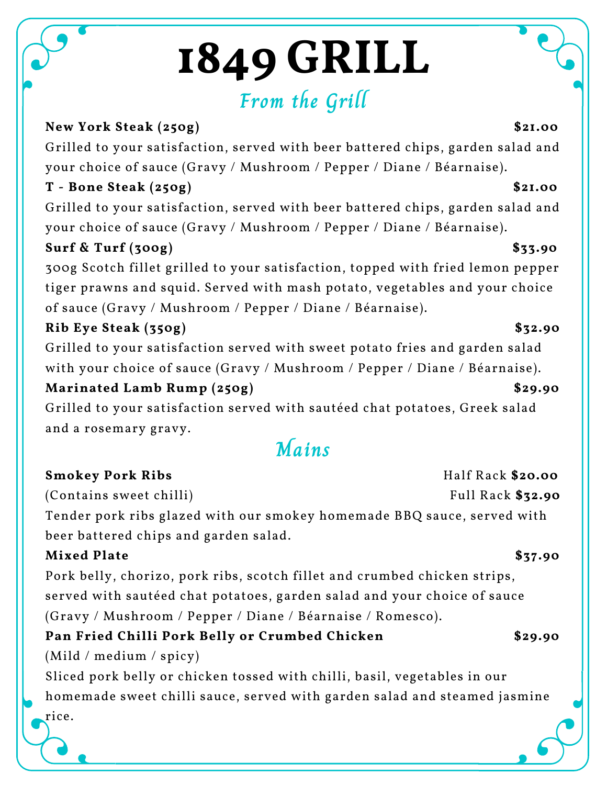# **From the Grill**

## **New York Steak (250g) \$21.00** Grilled to your satisfaction, served with beer battered chips, garden salad and your choice of sauce (Gravy / Mushroom / Pepper / Diane / Béarnaise).

### **T - Bone Steak (250g) \$21.00**

Grilled to your satisfaction, served with beer battered chips, garden salad and your choice of sauce (Gravy / Mushroom / Pepper / Diane / Béarnaise).

### **Surf & Turf (300g) \$33.90**

300g Scotch fillet grilled to your satisfaction, topped with fried lemon pepper tiger prawns and squid. Served with mash potato, vegetables and your choice of sauce (Gravy / Mushroom / Pepper / Diane / Béarnaise).

## **Rib Eye Steak (350g) \$32.90**

Grilled to your satisfaction served with sweet potato fries and garden salad with your choice of sauce (Gravy / Mushroom / Pepper / Diane / Béarnaise).

## **Marinated Lamb Rump (250g) \$29.90**

Grilled to your satisfaction served with sautéed chat potatoes, Greek salad and a rosemary gravy.

## **Mains**

### **Smokey Pork Ribs** Half Rack \$20.00

(Contains sweet chilli) Full Rack \$32.90

Tender pork ribs glazed with our smokey homemade BBQ sauce, served with beer battered chips and garden salad.

### **Mixed Plate \$37.90**

rice.

Pork belly, chorizo, pork ribs, scotch fillet and crumbed chicken strips, served with sautéed chat potatoes, garden salad and your choice of sauce (Gravy / Mushroom / Pepper / Diane / Béarnaise / Romesco).

## **Pan Fried Chilli Pork Belly or Crumbed Chicken \$29.90**

(Mild / medium / spicy)

Sliced pork belly or chicken tossed with chilli, basil, vegetables in our homemade sweet chilli sauce, served with garden salad and steamed jasmine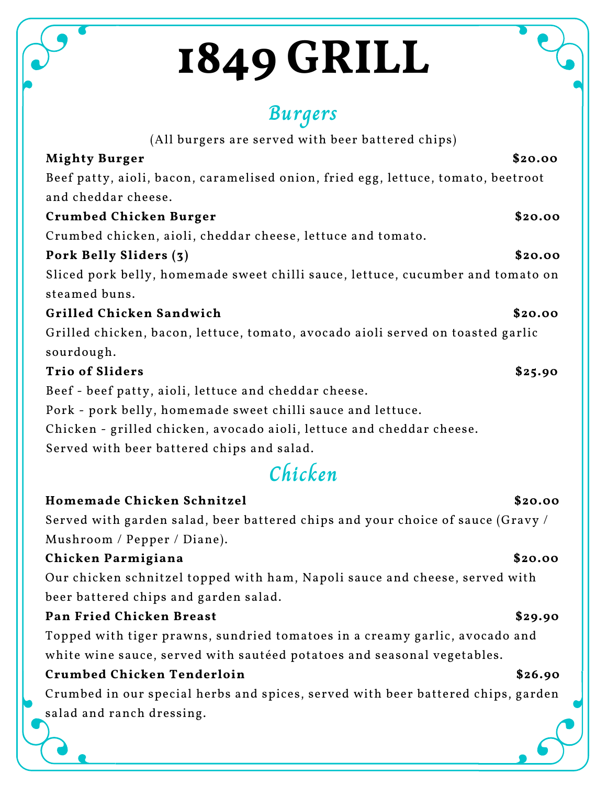## **Burgers**

| (All burgers are served with beer battered chips)                                             |  |
|-----------------------------------------------------------------------------------------------|--|
| \$20.00<br><b>Mighty Burger</b>                                                               |  |
| Beef patty, aioli, bacon, caramelised onion, fried egg, lettuce, tomato, beetroot             |  |
| and cheddar cheese.                                                                           |  |
| \$20.00<br>Crumbed Chicken Burger                                                             |  |
| Crumbed chicken, aioli, cheddar cheese, lettuce and tomato.                                   |  |
| Pork Belly Sliders (3)<br>\$20.00                                                             |  |
| Sliced pork belly, homemade sweet chilli sauce, lettuce, cucumber and tomato on               |  |
| steamed buns.                                                                                 |  |
| Grilled Chicken Sandwich<br>\$20.00                                                           |  |
| Grilled chicken, bacon, lettuce, tomato, avocado aioli served on toasted garlic<br>sourdough. |  |
| <b>Trio of Sliders</b><br>\$25.90                                                             |  |
| Beef - beef patty, aioli, lettuce and cheddar cheese.                                         |  |
| Pork - pork belly, homemade sweet chilli sauce and lettuce.                                   |  |
| Chicken - grilled chicken, avocado aioli, lettuce and cheddar cheese.                         |  |
| Served with beer battered chips and salad.                                                    |  |
| Chicken                                                                                       |  |
| Homemade Chicken Schnitzel<br>\$20.00                                                         |  |
| Served with garden salad, beer battered chips and your choice of sauce (Gravy /               |  |
| Mushroom / Pepper / Diane).                                                                   |  |
| Chicken Parmigiana<br>\$20.00                                                                 |  |
| Our chicken schnitzel topped with ham, Napoli sauce and cheese, served with                   |  |
| beer battered chips and garden salad.                                                         |  |
| Pan Fried Chicken Breast<br>\$29.90                                                           |  |
| Topped with tiger prawns, sundried tomatoes in a creamy garlic, avocado and                   |  |

white wine sauce, served with sautéed potatoes and seasonal vegetables.

### **Crumbed Chicken Tenderloin \$26.90**

Crumbed in our special herbs and spices, served with beer battered chips, garden salad and ranch dressing.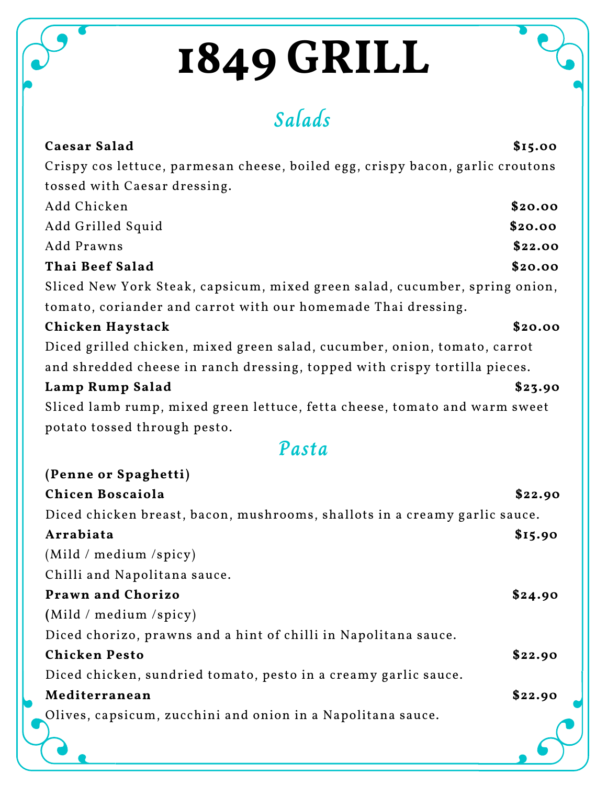**Salads**

| Caesar Salad                                                                   | \$15.00 |
|--------------------------------------------------------------------------------|---------|
| Crispy cos lettuce, parmesan cheese, boiled egg, crispy bacon, garlic croutons |         |
| tossed with Caesar dressing.                                                   |         |
| Add Chicken                                                                    | \$20.00 |
| Add Grilled Squid                                                              | \$20.00 |
| Add Prawns                                                                     | \$22.00 |
| Thai Beef Salad                                                                | \$20.00 |
| Sliced New York Steak, capsicum, mixed green salad, cucumber, spring onion,    |         |
| tomato, coriander and carrot with our homemade Thai dressing.                  |         |
| Chicken Haystack                                                               | \$20.00 |
| Diced grilled chicken, mixed green salad, cucumber, onion, tomato, carrot      |         |
| and shredded cheese in ranch dressing, topped with crispy tortilla pieces.     |         |
| Lamp Rump Salad                                                                | \$23.90 |
| Sliced lamb rump, mixed green lettuce, fetta cheese, tomato and warm sweet     |         |
| potato tossed through pesto.                                                   |         |
| Pasta                                                                          |         |
| (Penne or Spaghetti)                                                           |         |
| Chicen Boscaiola                                                               | \$22.90 |
| Diced chicken breast, bacon, mushrooms, shallots in a creamy garlic sauce.     |         |
| Arrabiata                                                                      | \$15.90 |
| (Mild / medium /spicy)                                                         |         |
| Chilli and Napolitana sauce.                                                   |         |
| Prawn and Chorizo                                                              | \$24.90 |
| (Mild / medium /spicy)                                                         |         |
| Diced chorizo, prawns and a hint of chilli in Napolitana sauce.                |         |
| <b>Chicken Pesto</b>                                                           | \$22.90 |
| Diced chicken, sundried tomato, pesto in a creamy garlic sauce.                |         |
| Mediterranean                                                                  | \$22.90 |
| Olives, capsicum, zucchini and onion in a Napolitana sauce.                    |         |
|                                                                                |         |